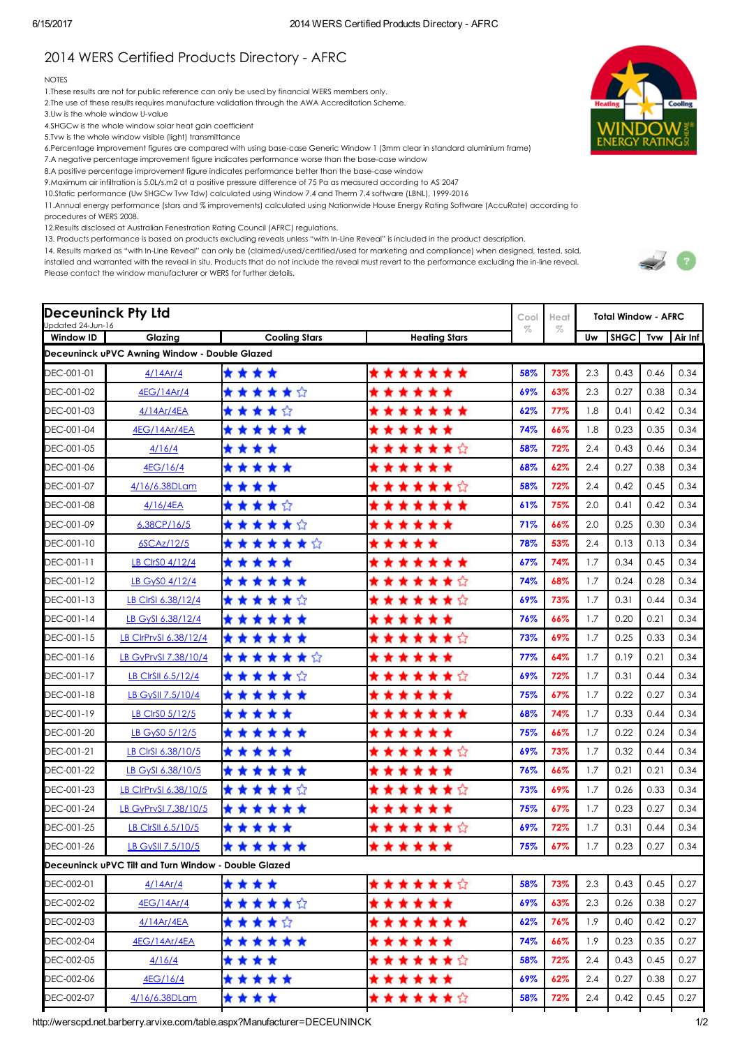## 2014 WERS Certified Products Directory - AFRC

## NOTES

1.These results are not for public reference can only be used by financial WERS members only.

2.The use of these results requires manufacture validation through the AWA Accreditation Scheme.

3.Uw is the whole window U-value

- 4.SHGCw is the whole window solar heat gain coefficient
- 5.Tvw is the whole window visible (light) transmittance
- 6.Percentage improvement figures are compared with using basecase Generic Window 1 (3mm clear in standard aluminium frame)
- 7.A negative percentage improvement figure indicates performance worse than the base-case window
- 8.A positive percentage improvement figure indicates performance better than the base-case window
- 9.Maximum air infiltration is 5.0L/s.m2 at a positive pressure difference of 75 Pa as measured according to AS 2047
- 10.Static performance (Uw SHGCw Tvw Tdw) calculated using Window 7.4 and Therm 7.4 software (LBNL), 1999-2016
- 11.Annual energy performance (stars and % improvements) calculated using Nationwide House Energy Rating Software (AccuRate) according to
- procedures of WERS 2008.

12.Results disclosed at Australian Fenestration Rating Council (AFRC) regulations.

13. Products performance is based on products excluding reveals unless "with InLine Reveal" is included in the product description.

14. Results marked as "with InLine Reveal" can only be (claimed/used/certified/used for marketing and compliance) when designed, tested, sold, installed and warranted with the reveal in situ. Products that do not include the reveal must revert to the performance excluding the in-line reveal.

Please contact the window manufacturer or WERS for further details.